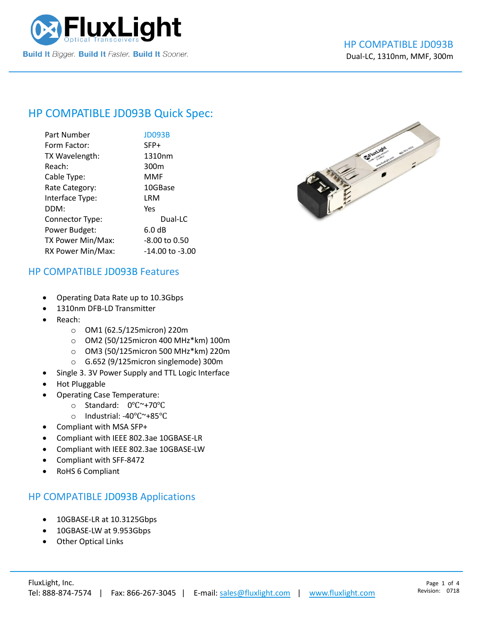

# HP COMPATIBLE [JD093B](https://www.fluxlight.com/) Quick Spec:

| Part Number       | JD093B           |
|-------------------|------------------|
| Form Factor:      | SFP+             |
| TX Wavelength:    | 1310nm           |
| Reach:            | 300 <sub>m</sub> |
| Cable Type:       | MMF              |
| Rate Category:    | 10GBase          |
| Interface Type:   | LRM              |
| DDM:              | Yes              |
| Connector Type:   | Dual-LC          |
| Power Budget:     | 6.0 dB           |
| TX Power Min/Max: | -8.00 to 0.50    |
| RX Power Min/Max: | -14.00 to -3.00  |



#### HP COMPATIBLE [JD093B](https://www.fluxlight.com/) Features

- Operating Data Rate up to 10.3Gbps
- 1310nm DFB-LD Transmitter
- Reach:
	- o OM1 (62.5/125micron) 220m
	- o OM2 (50/125micron 400 MHz\*km) 100m
	- o OM3 (50/125micron 500 MHz\*km) 220m
	- o G.652 (9/125micron singlemode) 300m
- Single 3. 3V Power Supply and TTL Logic Interface
- Hot Pluggable
- Operating Case Temperature:
	- o Standard: 0℃~+70℃
	- o Industrial: -40℃~+85℃
- Compliant with MSA SFP+
- Compliant with IEEE 802.3ae 10GBASE-LR
- Compliant with IEEE 802.3ae 10GBASE-LW
- Compliant with SFF-8472
- RoHS 6 Compliant

#### HP COMPATIBLE [JD093B](https://www.fluxlight.com/) Applications

- 10GBASE-LR at 10.3125Gbps
- 10GBASE-LW at 9.953Gbps
- **Other Optical Links**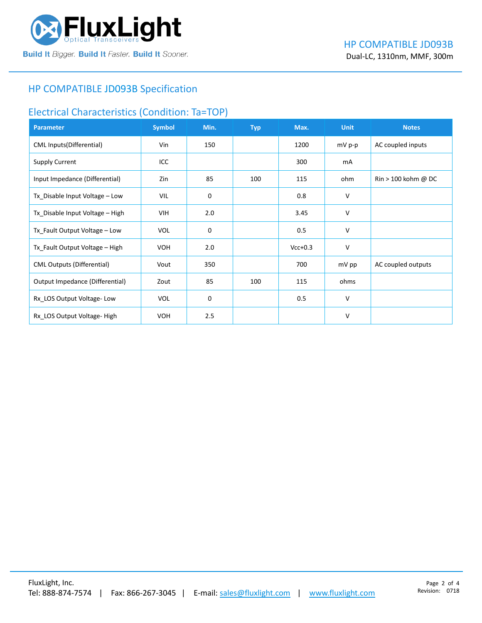

### HP COMPATIBLE [JD093B](https://www.fluxlight.com/) Specification

#### Electrical Characteristics (Condition: Ta=TOP)

| <b>Parameter</b>                  | <b>Symbol</b> | Min. | <b>Typ</b> | Max.      | <b>Unit</b> | <b>Notes</b>                          |
|-----------------------------------|---------------|------|------------|-----------|-------------|---------------------------------------|
| <b>CML Inputs(Differential)</b>   | Vin           | 150  |            | 1200      | $mV$ p-p    | AC coupled inputs                     |
| <b>Supply Current</b>             | ICC           |      |            | 300       | mA          |                                       |
| Input Impedance (Differential)    | Zin           | 85   | 100        | 115       | ohm         | $\text{Rin} > 100 \text{ kohm } @$ DC |
| Tx_Disable Input Voltage - Low    | VIL           | 0    |            | 0.8       | V           |                                       |
| Tx_Disable Input Voltage - High   | VIH.          | 2.0  |            | 3.45      | V           |                                       |
| Tx_Fault Output Voltage - Low     | <b>VOL</b>    | 0    |            | 0.5       | V           |                                       |
| Tx_Fault Output Voltage - High    | <b>VOH</b>    | 2.0  |            | $Vcc+0.3$ | V           |                                       |
| <b>CML Outputs (Differential)</b> | Vout          | 350  |            | 700       | mV pp       | AC coupled outputs                    |
| Output Impedance (Differential)   | Zout          | 85   | 100        | 115       | ohms        |                                       |
| Rx_LOS Output Voltage-Low         | <b>VOL</b>    | 0    |            | 0.5       | V           |                                       |
| Rx_LOS Output Voltage-High        | <b>VOH</b>    | 2.5  |            |           | V           |                                       |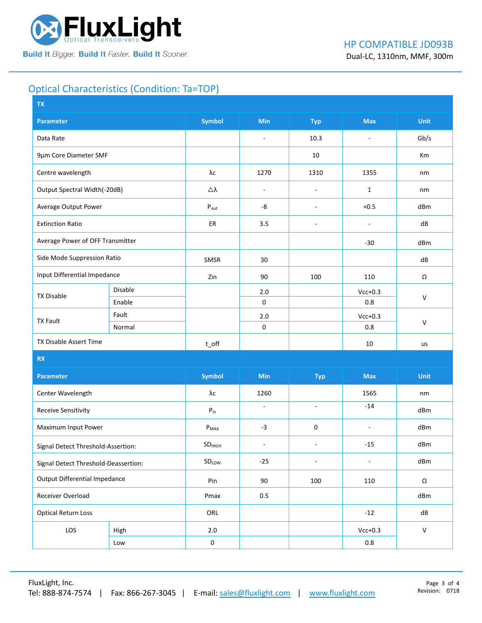

## Optical Characteristics (Condition: Ta=TOP)

| <b>TX</b>                            |         |                    |                          |                          |                          |              |  |
|--------------------------------------|---------|--------------------|--------------------------|--------------------------|--------------------------|--------------|--|
| <b>Parameter</b>                     |         | <b>Symbol</b>      | <b>Min</b>               | <b>Typ</b>               | <b>Max</b>               | <b>Unit</b>  |  |
| Data Rate                            |         |                    | $\blacksquare$           | 10.3                     | $\overline{\phantom{a}}$ | Gb/s         |  |
| 9µm Core Diameter SMF                |         |                    |                          | 10                       |                          | Km           |  |
| Centre wavelength                    |         | λc                 | 1270                     | 1310                     | 1355                     | nm           |  |
| Output Spectral Width(-20dB)         |         | Δλ                 | $\overline{\phantom{a}}$ | $\overline{\phantom{a}}$ | $\mathbf{1}$             | nm           |  |
| Average Output Power                 |         | $P_{\text{out}}$   | -8                       | $\overline{\phantom{m}}$ | $+0.5$                   | dBm          |  |
| <b>Extinction Ratio</b>              |         | ER                 | 3.5                      | $\overline{\phantom{a}}$ | $\overline{\phantom{a}}$ | dB           |  |
| Average Power of OFF Transmitter     |         |                    |                          |                          | $-30$                    | dBm          |  |
| Side Mode Suppression Ratio          |         | SMSR               | 30                       |                          |                          | dB           |  |
| Input Differential Impedance         |         | Zin                | 90                       | 100                      | 110                      | Ω            |  |
| <b>TX Disable</b>                    | Disable |                    | 2.0                      |                          | $Vcc+0.3$                | $\mathsf{V}$ |  |
|                                      | Enable  |                    | 0                        |                          | 0.8                      |              |  |
| Fault<br><b>TX Fault</b>             |         |                    | 2.0                      |                          | $Vcc+0.3$                | $\mathsf{V}$ |  |
|                                      | Normal  |                    | 0                        |                          | $0.8\,$                  |              |  |
| TX Disable Assert Time               |         | $t$ _off           |                          |                          | 10                       | us           |  |
| <b>RX</b>                            |         |                    |                          |                          |                          |              |  |
| <b>Parameter</b>                     |         | <b>Symbol</b>      | Min                      | <b>Typ</b>               | <b>Max</b>               | <b>Unit</b>  |  |
| Center Wavelength                    |         | λс                 | 1260                     |                          | 1565                     | nm           |  |
| Receive Sensitivity                  |         | $P_{in}$           | $\sim$                   | $\sim$                   | $-14$                    | dBm          |  |
| Maximum Input Power                  |         | $P_{MAX}$          | $-3$                     | 0                        | $\blacksquare$           | dBm          |  |
| Signal Detect Threshold-Assertion:   |         | SD <sub>HIGH</sub> | $\blacksquare$           | $\blacksquare$           | $-15$                    | dBm          |  |
| Signal Detect Threshold-Deassertion: |         | SDLOW              | $-25$                    | $\blacksquare$           | ÷,                       | dBm          |  |
| <b>Output Differential Impedance</b> |         | Pin                | 90                       | 100                      | 110                      | Ω            |  |
| Receiver Overload                    |         | Pmax               | 0.5                      |                          |                          | dBm          |  |
| <b>Optical Return Loss</b>           |         | ORL                |                          |                          | $-12$                    | ${\sf dB}$   |  |
| LOS<br>High                          |         | 2.0                |                          |                          | $Vcc+0.3$                | $\mathsf{V}$ |  |
| Low                                  |         | $\pmb{0}$          |                          |                          | $0.8\,$                  |              |  |